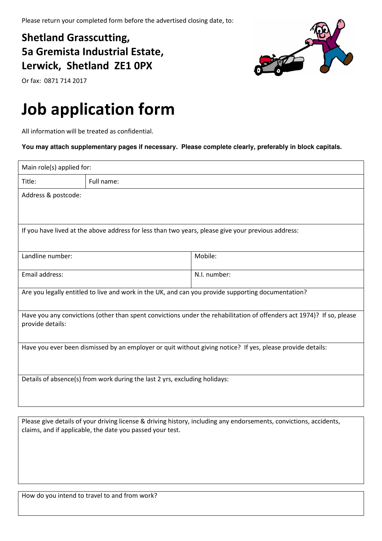## Shetland Grasscutting, 5a Gremista Industrial Estate, Lerwick, Shetland ZE1 0PX

Or fax: 0871 714 2017

## Job application form

All information will be treated as confidential.

**You may attach supplementary pages if necessary. Please complete clearly, preferably in block capitals.** 

| Main role(s) applied for:                                                                                  |            |                                                                                                                       |  |  |
|------------------------------------------------------------------------------------------------------------|------------|-----------------------------------------------------------------------------------------------------------------------|--|--|
| Title:                                                                                                     | Full name: |                                                                                                                       |  |  |
| Address & postcode:                                                                                        |            |                                                                                                                       |  |  |
|                                                                                                            |            |                                                                                                                       |  |  |
| If you have lived at the above address for less than two years, please give your previous address:         |            |                                                                                                                       |  |  |
| Landline number:                                                                                           |            | Mobile:                                                                                                               |  |  |
| Email address:                                                                                             |            | N.I. number:                                                                                                          |  |  |
| Are you legally entitled to live and work in the UK, and can you provide supporting documentation?         |            |                                                                                                                       |  |  |
| provide details:                                                                                           |            | Have you any convictions (other than spent convictions under the rehabilitation of offenders act 1974)? If so, please |  |  |
| Have you ever been dismissed by an employer or quit without giving notice? If yes, please provide details: |            |                                                                                                                       |  |  |
| Details of absence(s) from work during the last 2 yrs, excluding holidays:                                 |            |                                                                                                                       |  |  |

Please give details of your driving license & driving history, including any endorsements, convictions, accidents, claims, and if applicable, the date you passed your test.



How do you intend to travel to and from work?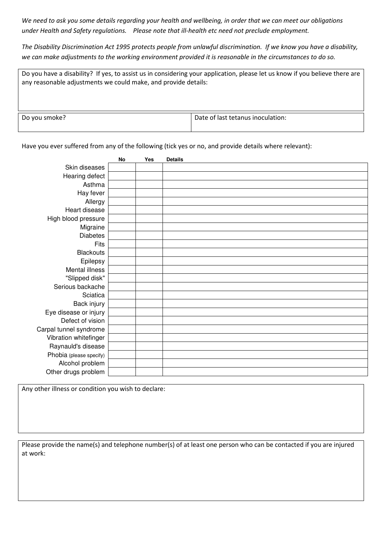We need to ask you some details regarding your health and wellbeing, in order that we can meet our obligations under Health and Safety regulations. Please note that ill-health etc need not preclude employment.

The Disability Discrimination Act 1995 protects people from unlawful discrimination. If we know you have a disability, we can make adjustments to the working environment provided it is reasonable in the circumstances to do so.

| Do you have a disability? If yes, to assist us in considering your application, please let us know if you believe there are<br>any reasonable adjustments we could make, and provide details: |                                   |  |  |
|-----------------------------------------------------------------------------------------------------------------------------------------------------------------------------------------------|-----------------------------------|--|--|
| Do you smoke?                                                                                                                                                                                 | Date of last tetanus inoculation: |  |  |

Have you ever suffered from any of the following (tick yes or no, and provide details where relevant):

|                         | <b>No</b> | Yes | <b>Details</b> |
|-------------------------|-----------|-----|----------------|
| Skin diseases           |           |     |                |
| Hearing defect          |           |     |                |
| Asthma                  |           |     |                |
| Hay fever               |           |     |                |
| Allergy                 |           |     |                |
| Heart disease           |           |     |                |
| High blood pressure     |           |     |                |
| Migraine                |           |     |                |
| <b>Diabetes</b>         |           |     |                |
| Fits                    |           |     |                |
| <b>Blackouts</b>        |           |     |                |
| Epilepsy                |           |     |                |
| Mental illness          |           |     |                |
| "Slipped disk"          |           |     |                |
| Serious backache        |           |     |                |
| Sciatica                |           |     |                |
| Back injury             |           |     |                |
| Eye disease or injury   |           |     |                |
| Defect of vision        |           |     |                |
| Carpal tunnel syndrome  |           |     |                |
| Vibration whitefinger   |           |     |                |
| Raynauld's disease      |           |     |                |
| Phobia (please specify) |           |     |                |
| Alcohol problem         |           |     |                |
| Other drugs problem     |           |     |                |

Any other illness or condition you wish to declare:

Please provide the name(s) and telephone number(s) of at least one person who can be contacted if you are injured at work: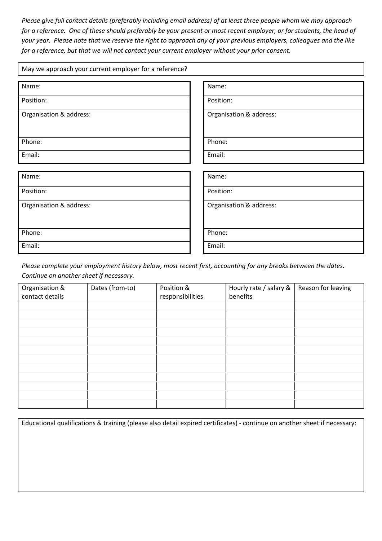Please give full contact details (preferably including email address) of at least three people whom we may approach for a reference. One of these should preferably be your present or most recent employer, or for students, the head of your year. Please note that we reserve the right to approach any of your previous employers, colleagues and the like for a reference, but that we will not contact your current employer without your prior consent.

| May we approach your current employer for a reference? |                         |  |  |
|--------------------------------------------------------|-------------------------|--|--|
| Name:                                                  | Name:                   |  |  |
| Position:                                              | Position:               |  |  |
| Organisation & address:                                | Organisation & address: |  |  |
|                                                        |                         |  |  |
| Phone:                                                 | Phone:                  |  |  |
| Email:                                                 | Email:                  |  |  |
|                                                        |                         |  |  |
| Name:                                                  | Name:                   |  |  |
| Position:                                              | Position:               |  |  |
| Organisation & address:                                | Organisation & address: |  |  |
|                                                        |                         |  |  |
| Phone:                                                 | Phone:                  |  |  |
| Email:                                                 | Email:                  |  |  |

Please complete your employment history below, most recent first, accounting for any breaks between the dates. Continue on another sheet if necessary.

| Organisation &<br>contact details | Dates (from-to) | Position &<br>responsibilities | Hourly rate / salary &<br>benefits | Reason for leaving |
|-----------------------------------|-----------------|--------------------------------|------------------------------------|--------------------|
|                                   |                 |                                |                                    |                    |
|                                   |                 |                                |                                    |                    |
|                                   |                 |                                |                                    |                    |
|                                   |                 |                                |                                    |                    |
|                                   |                 |                                |                                    |                    |
|                                   |                 |                                |                                    |                    |
|                                   |                 |                                |                                    |                    |
|                                   |                 |                                |                                    |                    |
|                                   |                 |                                |                                    |                    |
|                                   |                 |                                |                                    |                    |
|                                   |                 |                                |                                    |                    |
|                                   |                 |                                |                                    |                    |

| Educational qualifications & training (please also detail expired certificates) - continue on another sheet if necessary: |
|---------------------------------------------------------------------------------------------------------------------------|
|                                                                                                                           |
|                                                                                                                           |
|                                                                                                                           |
|                                                                                                                           |
|                                                                                                                           |
|                                                                                                                           |
|                                                                                                                           |
|                                                                                                                           |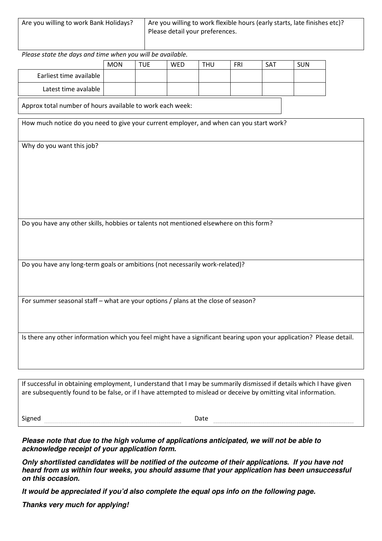| Are you willing to work Bank Holidays? | Are you willing to work flexible hours (early starts, late finishes etc)? |
|----------------------------------------|---------------------------------------------------------------------------|
|                                        | Please detail your preferences.                                           |
|                                        |                                                                           |

Please state the days and time when you will be available.

|                         | <b>MON</b> | TUE | WED | THU | FRI | <b>SAT</b> | <b>SUN</b> |
|-------------------------|------------|-----|-----|-----|-----|------------|------------|
| Earliest time available |            |     |     |     |     |            |            |
| Latest time avalable    |            |     |     |     |     |            |            |

Approx total number of hours available to work each week:

How much notice do you need to give your current employer, and when can you start work?

Why do you want this job?

Do you have any other skills, hobbies or talents not mentioned elsewhere on this form?

Do you have any long-term goals or ambitions (not necessarily work-related)?

For summer seasonal staff – what are your options / plans at the close of season?

Is there any other information which you feel might have a significant bearing upon your application? Please detail.

If successful in obtaining employment, I understand that I may be summarily dismissed if details which I have given are subsequently found to be false, or if I have attempted to mislead or deceive by omitting vital information.

Signed **Example 2018** Date **Date Date Date Date Date Date Date Date Date Date Date Date Date Date Date Date Date Date Date Date Date Date Date Date Date Date Date Date** 

**Please note that due to the high volume of applications anticipated, we will not be able to acknowledge receipt of your application form.** 

**Only shortlisted candidates will be notified of the outcome of their applications. If you have not heard from us within four weeks, you should assume that your application has been unsuccessful on this occasion.** 

**It would be appreciated if you'd also complete the equal ops info on the following page.** 

**Thanks very much for applying!**